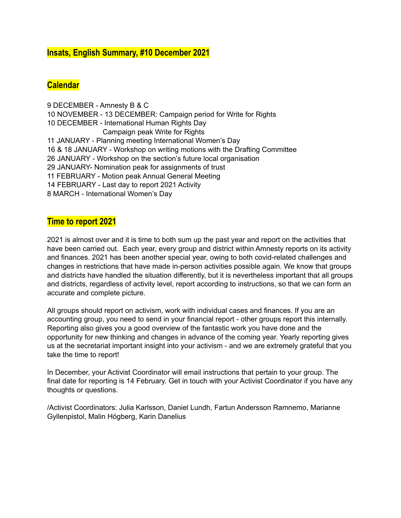# **Insats***,* **English Summary, #10 December 2021**

# **Calendar**

 DECEMBER - Amnesty B & C NOVEMBER - 13 DECEMBER: Campaign period for Write for Rights DECEMBER - International Human Rights Day Campaign peak Write for Rights JANUARY - Planning meeting International Women's Day & 18 JANUARY - Workshop on writing motions with the Drafting Committee JANUARY - Workshop on the section's future local organisation JANUARY- Nomination peak for assignments of trust FEBRUARY - Motion peak Annual General Meeting FEBRUARY - Last day to report 2021 Activity MARCH - International Women's Day

## **Time to report 2021**

2021 is almost over and it is time to both sum up the past year and report on the activities that have been carried out. Each year, every group and district within Amnesty reports on its activity and finances. 2021 has been another special year, owing to both covid-related challenges and changes in restrictions that have made in-person activities possible again. We know that groups and districts have handled the situation differently, but it is nevertheless important that all groups and districts, regardless of activity level, report according to instructions, so that we can form an accurate and complete picture.

All groups should report on activism, work with individual cases and finances. If you are an accounting group, you need to send in your financial report - other groups report this internally. Reporting also gives you a good overview of the fantastic work you have done and the opportunity for new thinking and changes in advance of the coming year. Yearly reporting gives us at the secretariat important insight into your activism - and we are extremely grateful that you take the time to report!

In December, your Activist Coordinator will email instructions that pertain to your group. The final date for reporting is 14 February. Get in touch with your Activist Coordinator if you have any thoughts or questions.

/Activist Coordinators: Julia Karlsson, Daniel Lundh, Fartun Andersson Ramnemo, Marianne Gyllenpistol, Malin Högberg, Karin Danelius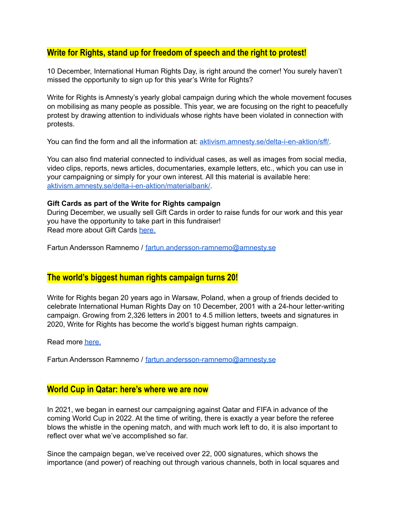# **Write for Rights, stand up for freedom of speech and the right to protest!**

10 December, International Human Rights Day, is right around the corner! You surely haven't missed the opportunity to sign up for this year's Write for Rights?

Write for Rights is Amnesty's yearly global campaign during which the whole movement focuses on mobilising as many people as possible. This year, we are focusing on the right to peacefully protest by drawing attention to individuals whose rights have been violated in connection with protests.

You can find the form and all the information at: [aktivism.amnesty.se/delta-i-en-aktion/sff/.](https://aktivism.amnesty.se/delta-i-en-aktion/sff/)

You can also find material connected to individual cases, as well as images from social media, video clips, reports, news articles, documentaries, example letters, etc., which you can use in your campaigning or simply for your own interest. All this material is available here: [aktivism.amnesty.se/delta-i-en-aktion/materialbank/](https://aktivism.amnesty.se/delta-i-en-aktion/materialbank/).

#### **Gift Cards as part of the Write for Rights campaign**

During December, we usually sell Gift Cards in order to raise funds for our work and this year you have the opportunity to take part in this fundraiser! Read more about Gift Cards [here.](https://aktivism.amnesty.se/uploads/cms_page_media/589/Aktivister%20-%20Infoflyer%20Copy.pdf)

Fartun Andersson Ramnemo / [fartun.andersson-ramnemo@amnesty.se](mailto:fartun.andersson-ramnemo@amnesty.se)

#### **The world's biggest human rights campaign turns 20!**

Write for Rights began 20 years ago in Warsaw, Poland, when a group of friends decided to celebrate International Human Rights Day on 10 December, 2001 with a 24-hour letter-writing campaign. Growing from 2,326 letters in 2001 to 4.5 million letters, tweets and signatures in 2020, Write for Rights has become the world's biggest human rights campaign.

Read more [here.](https://www.amnesty.org/en/latest/impact/2021/11/write-for-rights-celebrating-20-years-of-change/)

Fartun Andersson Ramnemo / [fartun.andersson-ramnemo@amnesty.se](mailto:fartun.andersson-ramnemo@amnesty.se)

### **World Cup in Qatar: here's where we are now**

In 2021, we began in earnest our campaigning against Qatar and FIFA in advance of the coming World Cup in 2022. At the time of writing, there is exactly a year before the referee blows the whistle in the opening match, and with much work left to do, it is also important to reflect over what we've accomplished so far.

Since the campaign began, we've received over 22, 000 signatures, which shows the importance (and power) of reaching out through various channels, both in local squares and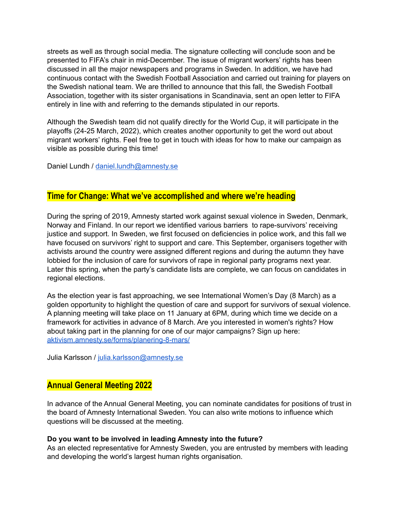streets as well as through social media. The signature collecting will conclude soon and be presented to FIFA's chair in mid-December. The issue of migrant workers' rights has been discussed in all the major newspapers and programs in Sweden. In addition, we have had continuous contact with the Swedish Football Association and carried out training for players on the Swedish national team. We are thrilled to announce that this fall, the Swedish Football Association, together with its sister organisations in Scandinavia, sent an open letter to FIFA entirely in line with and referring to the demands stipulated in our reports.

Although the Swedish team did not qualify directly for the World Cup, it will participate in the playoffs (24-25 March, 2022), which creates another opportunity to get the word out about migrant workers' rights. Feel free to get in touch with ideas for how to make our campaign as visible as possible during this time!

Daniel Lundh / [daniel.lundh@amnesty.se](mailto:daniel.lundh@amnesty.se)

### **Time for Change: What we've accomplished and where we're heading**

During the spring of 2019, Amnesty started work against sexual violence in Sweden, Denmark, Norway and Finland. In our report we identified various barriers to rape-survivors' receiving justice and support. In Sweden, we first focused on deficiencies in police work, and this fall we have focused on survivors' right to support and care. This September, organisers together with activists around the country were assigned different regions and during the autumn they have lobbied for the inclusion of care for survivors of rape in regional party programs next year. Later this spring, when the party's candidate lists are complete, we can focus on candidates in regional elections.

As the election year is fast approaching, we see International Women's Day (8 March) as a golden opportunity to highlight the question of care and support for survivors of sexual violence. A planning meeting will take place on 11 January at 6PM, during which time we decide on a framework for activities in advance of 8 March. Are you interested in women's rights? How about taking part in the planning for one of our major campaigns? Sign up here: [aktivism.amnesty.se/forms/planering-8-mars/](http://aktivism.amnesty.se/forms/planering-8-mars/)

Julia Karlsson / [julia.karlsson@amnesty.se](mailto:julia.karlsson@amnesty.se)

## **Annual General Meeting 2022**

In advance of the Annual General Meeting, you can nominate candidates for positions of trust in the board of Amnesty International Sweden. You can also write motions to influence which questions will be discussed at the meeting.

#### **Do you want to be involved in leading Amnesty into the future?**

As an elected representative for Amnesty Sweden, you are entrusted by members with leading and developing the world's largest human rights organisation.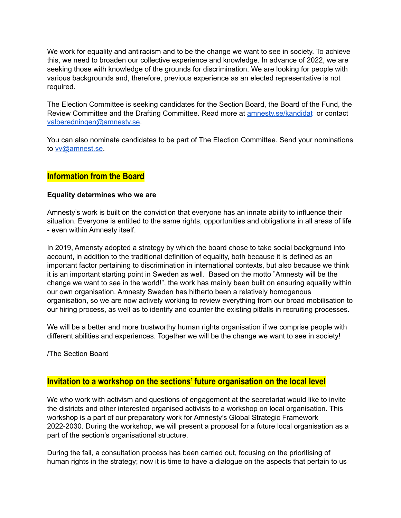We work for equality and antiracism and to be the change we want to see in society. To achieve this, we need to broaden our collective experience and knowledge. In advance of 2022, we are seeking those with knowledge of the grounds for discrimination. We are looking for people with various backgrounds and, therefore, previous experience as an elected representative is not required.

The Election Committee is seeking candidates for the Section Board, the Board of the Fund, the Review Committee and the Drafting Committee. Read more at [amnesty.se/kandidat](http://amnesty.se/kandidat) or contact [valberedningen@amnesty.se.](mailto:valberedningen@amnesty.se)

You can also nominate candidates to be part of The Election Committee. Send your nominations to [vv@amnest.se](mailto:vv@amnest.se).

## **Information from the Board**

#### **Equality determines who we are**

Amnesty's work is built on the conviction that everyone has an innate ability to influence their situation. Everyone is entitled to the same rights, opportunities and obligations in all areas of life - even within Amnesty itself.

In 2019, Amensty adopted a strategy by which the board chose to take social background into account, in addition to the traditional definition of equality, both because it is defined as an important factor pertaining to discrimination in international contexts, but also because we think it is an important starting point in Sweden as well. Based on the motto "Amnesty will be the change we want to see in the world!", the work has mainly been built on ensuring equality within our own organisation. Amnesty Sweden has hitherto been a relatively homogenous organisation, so we are now actively working to review everything from our broad mobilisation to our hiring process, as well as to identify and counter the existing pitfalls in recruiting processes.

We will be a better and more trustworthy human rights organisation if we comprise people with different abilities and experiences. Together we will be the change we want to see in society!

/The Section Board

# **Invitation to a workshop on the sections' future organisation on the local level**

We who work with activism and questions of engagement at the secretariat would like to invite the districts and other interested organised activists to a workshop on local organisation. This workshop is a part of our preparatory work for Amnesty's Global Strategic Framework 2022-2030. During the workshop, we will present a proposal for a future local organisation as a part of the section's organisational structure.

During the fall, a consultation process has been carried out, focusing on the prioritising of human rights in the strategy; now it is time to have a dialogue on the aspects that pertain to us